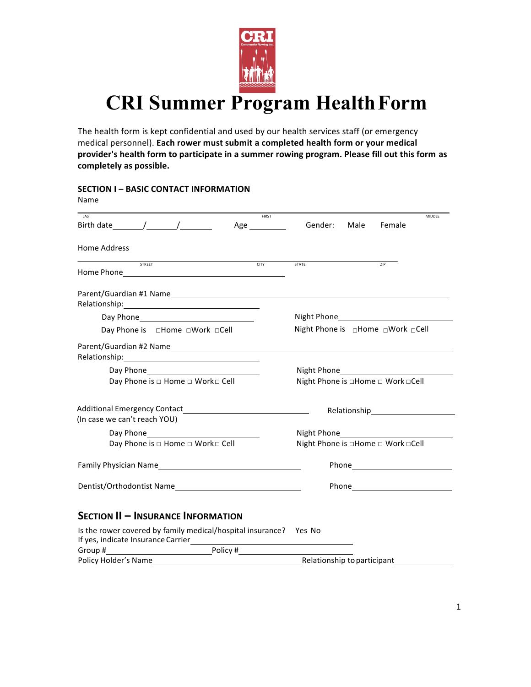

# **CRI Summer Program HealthForm**

The health form is kept confidential and used by our health services staff (or emergency medical personnel). Each rower must submit a completed health form or your medical provider's health form to participate in a summer rowing program. Please fill out this form as **completely as possible.**

**SECTION I – BASIC CONTACT INFORMATION** 

| Name                                                                                                                                                                                                                                         |                                              |
|----------------------------------------------------------------------------------------------------------------------------------------------------------------------------------------------------------------------------------------------|----------------------------------------------|
| FIRST<br><b>LAST</b>                                                                                                                                                                                                                         | MIDDLF                                       |
| Birth date (a) and (b) and (b) and (b) and (b) and (b) and (b) and (b) and (b) and (b) and (b) and (b) and (b) and (b) and (b) and (b) and (b) and (b) and (b) and (b) and (b) and (b) and (b) and (b) and (b) and (b) and (b)<br>Age $\_\_$ | Gender:<br>Male<br>Female                    |
| Home Address                                                                                                                                                                                                                                 |                                              |
| <b>CITY</b><br><b>STREET</b>                                                                                                                                                                                                                 | <b>STATE</b><br>ZIP                          |
| Relationship:<br><u> Alexandria (Carlo Carlo Carlo Carlo Carlo Carlo Carlo Carlo Carlo Carlo Carlo Carlo Carlo Carlo Carlo Carlo Ca</u>                                                                                                      |                                              |
|                                                                                                                                                                                                                                              |                                              |
|                                                                                                                                                                                                                                              | Night Phone is <sup>O</sup> Home OWork OCell |
|                                                                                                                                                                                                                                              |                                              |
|                                                                                                                                                                                                                                              |                                              |
| Day Phone is □ Home □ Work□ Cell                                                                                                                                                                                                             | Night Phone is □Home □ Work □Cell            |
| Additional Emergency Contact<br><u>Land Contact</u>                                                                                                                                                                                          |                                              |
| (In case we can't reach YOU)                                                                                                                                                                                                                 |                                              |
|                                                                                                                                                                                                                                              |                                              |
| Day Phone is □ Home □ Work□ Cell                                                                                                                                                                                                             | Night Phone is □Home □ Work □Cell            |
| Family Physician Name                                                                                                                                                                                                                        | Phone Phone                                  |
| Dentist/Orthodontist Name                                                                                                                                                                                                                    |                                              |
| <b>SECTION II - INSURANCE INFORMATION</b>                                                                                                                                                                                                    |                                              |
| Is the rower covered by family medical/hospital insurance?    Yes No<br>If yes, indicate Insurance Carrier                                                                                                                                   |                                              |
|                                                                                                                                                                                                                                              |                                              |
| Policy Holder's Name                                                                                                                                                                                                                         | Relationship to participant                  |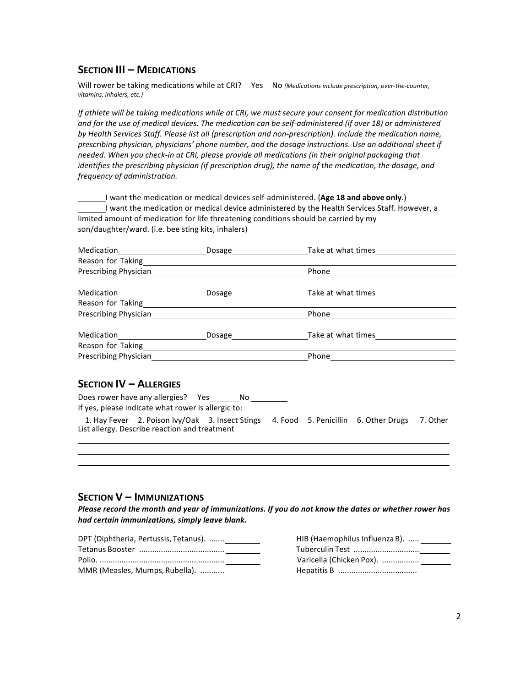### **SECTION III – MEDICATIONS**

Will rower be taking medications while at CRI? Yes No (Medications include prescription, over-the-counter, *vitamins, inhalers, etc.)*

*If* athlete will be taking medications while at CRI, we must secure your consent for medication distribution and for the use of medical devices. The medication can be self-administered (if over 18) or administered by *Health Services Staff. Please list all (prescription and non-prescription). Include the medication name,* prescribing physician, physicians' phone number, and the dosage instructions. Use an additional sheet if *needed.* When you check-in at CRI, please provide all medications (in their original packaging that *identifies the prescribing physician (if prescription drug), the name of the medication, the dosage, and frequency of administration.*

I want the medication or medical devices self-administered. (Age 18 and above only.) I want the medication or medical device administered by the Health Services Staff. However, a limited amount of medication for life threatening conditions should be carried by my son/daughter/ward. (i.e. bee sting kits, inhalers)

| Medication            | Dosage | Take at what times |  |
|-----------------------|--------|--------------------|--|
| Reason for Taking     |        |                    |  |
| Prescribing Physician |        | Phone              |  |
| Medication            | Dosage | Take at what times |  |
| Reason for Taking     |        |                    |  |
| Prescribing Physician |        | Phone              |  |
| Medication            | Dosage | Take at what times |  |
| Reason for Taking     |        |                    |  |
| Prescribing Physician |        | Phone              |  |

#### **SECTION IV – ALLERGIES**

Does rower have any allergies? Yes No If yes, please indicate what rower is allergic to:

1. Hay Fever 2. Poison Ivy/Oak 3. Insect Stings 4. Food 5. Penicillin 6. Other Drugs 7. Other List allergy. Describe reaction and treatment

### **SECTION V – IMMUNIZATIONS**

Please record the month and year of immunizations. If you do not know the dates or whether rower has *had certain immunizations, simply leave blank.*

| DPT (Diphtheria, Pertussis, Tetanus). |  |
|---------------------------------------|--|
|                                       |  |
|                                       |  |
| MMR (Measles, Mumps, Rubella).        |  |

| HIB (Haemophilus Influenza B). |
|--------------------------------|
| Tuberculin Test                |
| Varicella (Chicken Pox).       |
|                                |
|                                |